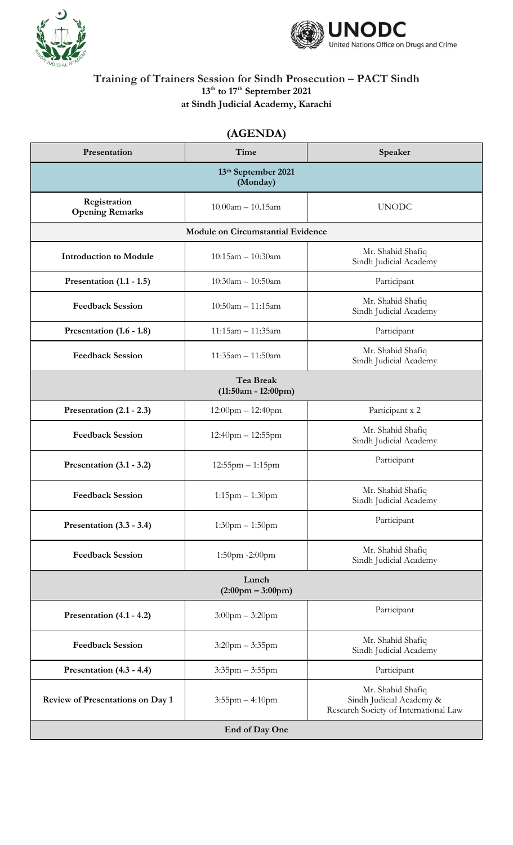



## **Training of Trainers Session for Sindh Prosecution – PACT Sindh 13th to 17th September 2021 at Sindh Judicial Academy, Karachi**

## **(AGENDA)**

| Presentation                                 | Time                    | Speaker                                                                                |  |  |
|----------------------------------------------|-------------------------|----------------------------------------------------------------------------------------|--|--|
| 13th September 2021<br>(Monday)              |                         |                                                                                        |  |  |
| Registration<br><b>Opening Remarks</b>       | $10.00am - 10.15am$     | <b>UNODC</b>                                                                           |  |  |
| <b>Module on Circumstantial Evidence</b>     |                         |                                                                                        |  |  |
| <b>Introduction to Module</b>                | $10:15am - 10:30am$     | Mr. Shahid Shafiq<br>Sindh Judicial Academy                                            |  |  |
| Presentation (1.1 - 1.5)                     | $10:30am - 10:50am$     | Participant                                                                            |  |  |
| <b>Feedback Session</b>                      | $10:50am - 11:15am$     | Mr. Shahid Shafiq<br>Sindh Judicial Academy                                            |  |  |
| Presentation $(1.6 - 1.8)$                   | $11:15am - 11:35am$     | Participant                                                                            |  |  |
| <b>Feedback Session</b>                      | 11:35am - 11:50am       | Mr. Shahid Shafiq<br>Sindh Judicial Academy                                            |  |  |
| <b>Tea Break</b><br>$(11:50am - 12:00pm)$    |                         |                                                                                        |  |  |
| Presentation $(2.1 - 2.3)$                   | $12:00$ pm $- 12:40$ pm | Participant x 2                                                                        |  |  |
| <b>Feedback Session</b>                      | $12:40$ pm $- 12:55$ pm | Mr. Shahid Shafiq<br>Sindh Judicial Academy                                            |  |  |
| Presentation $(3.1 - 3.2)$                   | $12:55$ pm $-1:15$ pm   | Participant                                                                            |  |  |
| <b>Feedback Session</b>                      | $1:15$ pm $-1:30$ pm    | Mr. Shahid Shafiq<br>Sindh Judicial Academy                                            |  |  |
| Presentation (3.3 - 3.4)                     | $1:30$ pm $-1:50$ pm    | Participant                                                                            |  |  |
| <b>Feedback Session</b>                      | 1:50pm -2:00pm          | Mr. Shahid Shafiq<br>Sindh Judicial Academy                                            |  |  |
| Lunch<br>$(2:00 \text{pm} - 3:00 \text{pm})$ |                         |                                                                                        |  |  |
| Presentation (4.1 - 4.2)                     | $3:00$ pm $-3:20$ pm    | Participant                                                                            |  |  |
| <b>Feedback Session</b>                      | $3:20$ pm $-3:35$ pm    | Mr. Shahid Shafiq<br>Sindh Judicial Academy                                            |  |  |
| Presentation (4.3 - 4.4)                     | $3:35$ pm $-3:55$ pm    | Participant                                                                            |  |  |
| <b>Review of Presentations on Day 1</b>      | $3:55$ pm $-4:10$ pm    | Mr. Shahid Shafiq<br>Sindh Judicial Academy &<br>Research Society of International Law |  |  |
| End of Day One                               |                         |                                                                                        |  |  |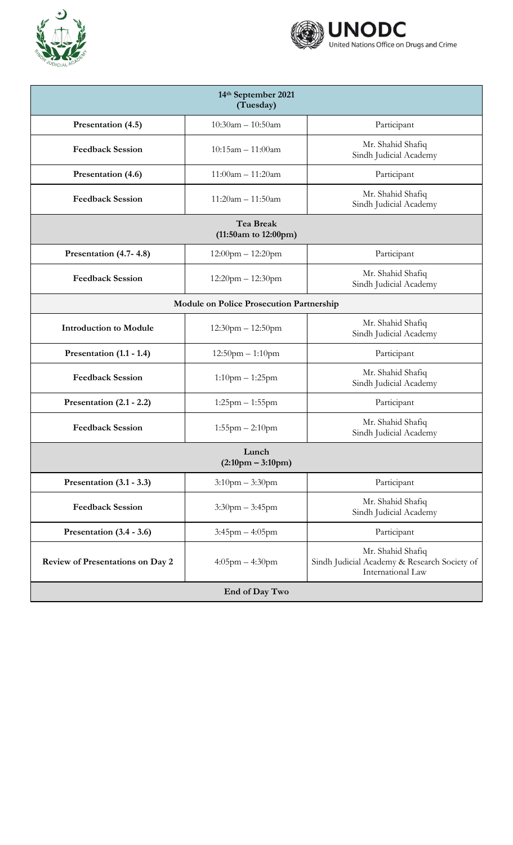



| 14th September 2021<br>(Tuesday)                |                         |                                                                                        |  |  |
|-------------------------------------------------|-------------------------|----------------------------------------------------------------------------------------|--|--|
| Presentation (4.5)                              | $10:30am - 10:50am$     | Participant                                                                            |  |  |
| <b>Feedback Session</b>                         | $10:15am - 11:00am$     | Mr. Shahid Shafiq<br>Sindh Judicial Academy                                            |  |  |
| Presentation (4.6)                              | $11:00am - 11:20am$     | Participant                                                                            |  |  |
| <b>Feedback Session</b>                         | $11:20am - 11:50am$     | Mr. Shahid Shafiq<br>Sindh Judicial Academy                                            |  |  |
| <b>Tea Break</b><br>$(11:50am)$ to $12:00pm)$   |                         |                                                                                        |  |  |
| Presentation (4.7-4.8)                          | $12:00$ pm $- 12:20$ pm | Participant                                                                            |  |  |
| <b>Feedback Session</b>                         | $12:20$ pm $- 12:30$ pm | Mr. Shahid Shafiq<br>Sindh Judicial Academy                                            |  |  |
| <b>Module on Police Prosecution Partnership</b> |                         |                                                                                        |  |  |
| <b>Introduction to Module</b>                   | $12:30$ pm $- 12:50$ pm | Mr. Shahid Shafiq<br>Sindh Judicial Academy                                            |  |  |
| Presentation $(1.1 - 1.4)$                      | $12:50$ pm $-1:10$ pm   | Participant                                                                            |  |  |
| <b>Feedback Session</b>                         | $1:10$ pm $-1:25$ pm    | Mr. Shahid Shafiq<br>Sindh Judicial Academy                                            |  |  |
| Presentation $(2.1 - 2.2)$                      | $1:25$ pm $-1:55$ pm    | Participant                                                                            |  |  |
| <b>Feedback Session</b>                         | $1:55$ pm $-2:10$ pm    | Mr. Shahid Shafiq<br>Sindh Judicial Academy                                            |  |  |
| Lunch<br>$(2:10 \text{pm} - 3:10 \text{pm})$    |                         |                                                                                        |  |  |
| Presentation $(3.1 - 3.3)$                      | $3:10$ pm $-3:30$ pm    | Participant                                                                            |  |  |
| <b>Feedback Session</b>                         | $3:30$ pm $-3:45$ pm    | Mr. Shahid Shafiq<br>Sindh Judicial Academy                                            |  |  |
| Presentation $(3.4 - 3.6)$                      | $3:45$ pm $-4:05$ pm    | Participant                                                                            |  |  |
| <b>Review of Presentations on Day 2</b>         | $4:05$ pm $-4:30$ pm    | Mr. Shahid Shafiq<br>Sindh Judicial Academy & Research Society of<br>International Law |  |  |
| End of Day Two                                  |                         |                                                                                        |  |  |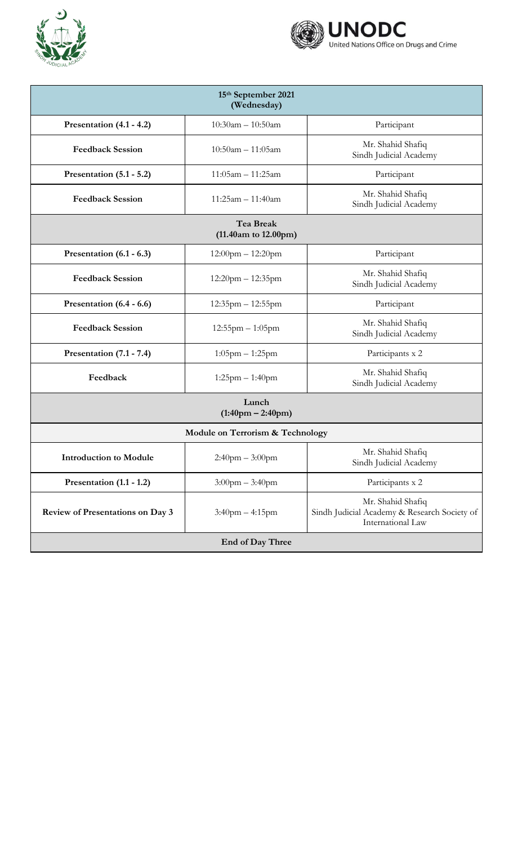



| 15th September 2021<br>(Wednesday)            |                         |                                                                                        |  |  |
|-----------------------------------------------|-------------------------|----------------------------------------------------------------------------------------|--|--|
| Presentation (4.1 - 4.2)                      | $10:30am - 10:50am$     | Participant                                                                            |  |  |
| <b>Feedback Session</b>                       | $10:50am - 11:05am$     | Mr. Shahid Shafiq<br>Sindh Judicial Academy                                            |  |  |
| Presentation $(5.1 - 5.2)$                    | $11:05am - 11:25am$     | Participant                                                                            |  |  |
| <b>Feedback Session</b>                       | $11:25am - 11:40am$     | Mr. Shahid Shafiq<br>Sindh Judicial Academy                                            |  |  |
| <b>Tea Break</b><br>$(11.40am)$ to $12.00pm)$ |                         |                                                                                        |  |  |
| Presentation $(6.1 - 6.3)$                    | $12:00$ pm $- 12:20$ pm | Participant                                                                            |  |  |
| <b>Feedback Session</b>                       | $12:20$ pm $-12:35$ pm  | Mr. Shahid Shafiq<br>Sindh Judicial Academy                                            |  |  |
| Presentation (6.4 - 6.6)                      | $12:35$ pm $-12:55$ pm  | Participant                                                                            |  |  |
| <b>Feedback Session</b>                       | $12:55$ pm $-1:05$ pm   | Mr. Shahid Shafiq<br>Sindh Judicial Academy                                            |  |  |
| Presentation (7.1 - 7.4)                      | $1:05$ pm $-1:25$ pm    | Participants x 2                                                                       |  |  |
| Feedback                                      | $1:25$ pm $-1:40$ pm    | Mr. Shahid Shafiq<br>Sindh Judicial Academy                                            |  |  |
| Lunch<br>$(1:40 \text{pm} - 2:40 \text{pm})$  |                         |                                                                                        |  |  |
| <b>Module on Terrorism &amp; Technology</b>   |                         |                                                                                        |  |  |
| <b>Introduction to Module</b>                 | $2:40$ pm $-3:00$ pm    | Mr. Shahid Shafiq<br>Sindh Judicial Academy                                            |  |  |
| Presentation $(1.1 - 1.2)$                    | $3:00$ pm $-3:40$ pm    | Participants x 2                                                                       |  |  |
| <b>Review of Presentations on Day 3</b>       | $3:40$ pm $-4:15$ pm    | Mr. Shahid Shafiq<br>Sindh Judicial Academy & Research Society of<br>International Law |  |  |
| End of Day Three                              |                         |                                                                                        |  |  |